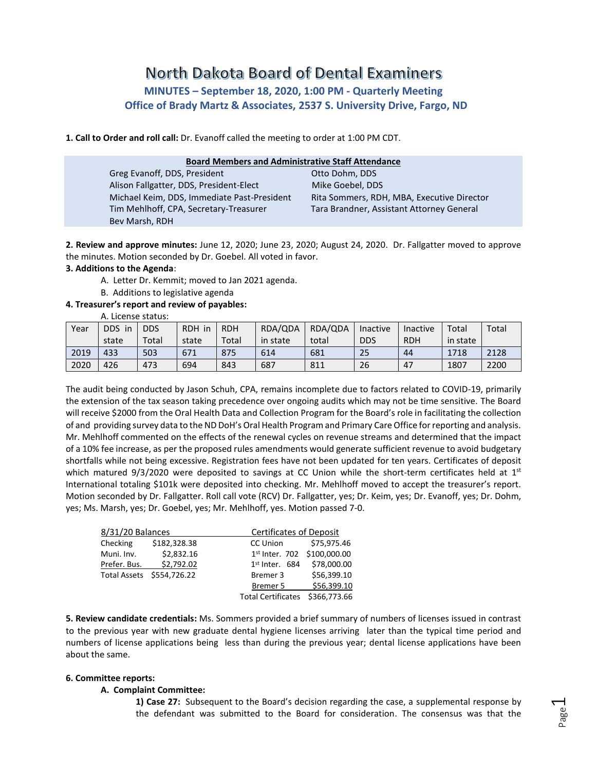# North Dakota Board of Dental Examiners **MINUTES – September 18, 2020, 1:00 PM - Quarterly Meeting Office of Brady Martz & Associates, 2537 S. University Drive, Fargo, ND**

**1. Call to Order and roll call:** Dr. Evanoff called the meeting to order at 1:00 PM CDT.

| <b>Board Members and Administrative Staff Attendance</b> |                                            |  |  |  |  |  |  |
|----------------------------------------------------------|--------------------------------------------|--|--|--|--|--|--|
| Greg Evanoff, DDS, President                             | Otto Dohm, DDS                             |  |  |  |  |  |  |
| Alison Fallgatter, DDS, President-Elect                  | Mike Goebel, DDS                           |  |  |  |  |  |  |
| Michael Keim, DDS, Immediate Past-President              | Rita Sommers, RDH, MBA, Executive Director |  |  |  |  |  |  |
| Tim Mehlhoff, CPA, Secretary-Treasurer                   | Tara Brandner, Assistant Attorney General  |  |  |  |  |  |  |
| Bev Marsh, RDH                                           |                                            |  |  |  |  |  |  |

**2. Review and approve minutes:** June 12, 2020; June 23, 2020; August 24, 2020. Dr. Fallgatter moved to approve the minutes. Motion seconded by Dr. Goebel. All voted in favor.

# **3. Additions to the Agenda**:

- A. Letter Dr. Kemmit; moved to Jan 2021 agenda.
- B. Additions to legislative agenda

## **4. Treasurer's report and review of payables:**

A. License status:

| Year | DDS.<br>in | <b>DDS</b> | <b>RDH</b><br>in | <b>RDH</b> | RDA/QDA  | RDA/QDA | Inactive   | Inactive   | Total    | Total |
|------|------------|------------|------------------|------------|----------|---------|------------|------------|----------|-------|
|      | state      | Total      | state            | Total      | in state | total   | <b>DDS</b> | <b>RDH</b> | in state |       |
| 2019 | 433        | 503        | 671              | 875        | 614      | 681     | 25         | 44         | 1718     | 2128  |
| 2020 | 426        | 473        | 694              | 843        | 687      | 811     | 26         | 47         | 1807     | 2200  |

The audit being conducted by Jason Schuh, CPA, remains incomplete due to factors related to COVID-19, primarily the extension of the tax season taking precedence over ongoing audits which may not be time sensitive. The Board will receive \$2000 from the Oral Health Data and Collection Program for the Board's role in facilitating the collection of and providing survey data to the ND DoH's Oral Health Program and Primary Care Office for reporting and analysis. Mr. Mehlhoff commented on the effects of the renewal cycles on revenue streams and determined that the impact of a 10% fee increase, as per the proposed rules amendments would generate sufficient revenue to avoid budgetary shortfalls while not being excessive. Registration fees have not been updated for ten years. Certificates of deposit which matured 9/3/2020 were deposited to savings at CC Union while the short-term certificates held at 1st International totaling \$101k were deposited into checking. Mr. Mehlhoff moved to accept the treasurer's report. Motion seconded by Dr. Fallgatter. Roll call vote (RCV) Dr. Fallgatter, yes; Dr. Keim, yes; Dr. Evanoff, yes; Dr. Dohm, yes; Ms. Marsh, yes; Dr. Goebel, yes; Mr. Mehlhoff, yes. Motion passed 7-0.

| 8/31/20 Balances |                           |                             | Certificates of Deposit |  |  |  |  |
|------------------|---------------------------|-----------------------------|-------------------------|--|--|--|--|
| Checking         | \$182,328.38              | CC Union                    | \$75,975.46             |  |  |  |  |
| Muni. Inv.       | \$2,832.16                | 1st Inter. 702 \$100,000.00 |                         |  |  |  |  |
| Prefer. Bus.     | \$2,792.02                | $1st$ Inter. 684            | \$78,000.00             |  |  |  |  |
|                  | Total Assets \$554,726.22 | Bremer 3                    | \$56,399.10             |  |  |  |  |
|                  |                           | Bremer 5                    | \$56.399.10             |  |  |  |  |
|                  |                           | <b>Total Certificates</b>   | \$366,773.66            |  |  |  |  |

**5. Review candidate credentials:** Ms. Sommers provided a brief summary of numbers of licenses issued in contrast to the previous year with new graduate dental hygiene licenses arriving later than the typical time period and numbers of license applications being less than during the previous year; dental license applications have been about the same.

## **6. Committee reports:**

## **A. Complaint Committee:**

**1) Case 27:** Subsequent to the Board's decision regarding the case, a supplemental response by the defendant was submitted to the Board for consideration. The consensus was that the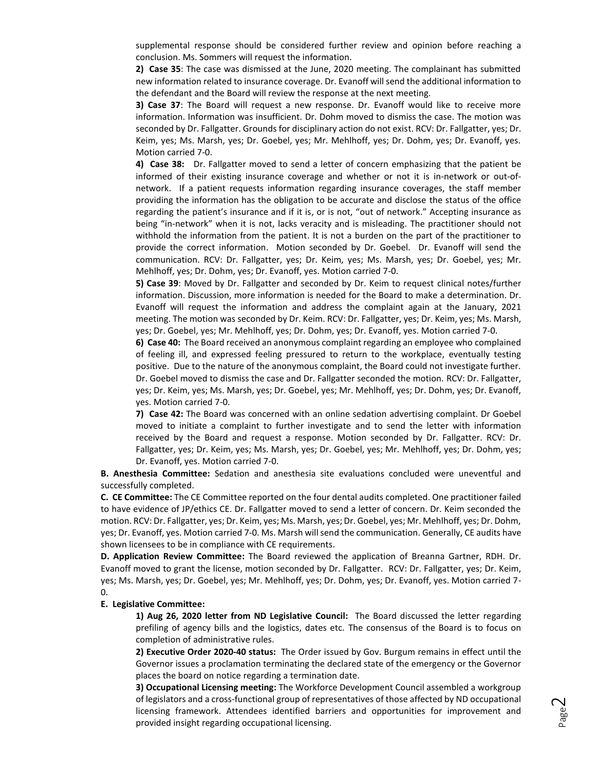supplemental response should be considered further review and opinion before reaching a conclusion. Ms. Sommers will request the information.

**2) Case 35**: The case was dismissed at the June, 2020 meeting. The complainant has submitted new information related to insurance coverage. Dr. Evanoff will send the additional information to the defendant and the Board will review the response at the next meeting.

**3) Case 37**: The Board will request a new response. Dr. Evanoff would like to receive more information. Information was insufficient. Dr. Dohm moved to dismiss the case. The motion was seconded by Dr. Fallgatter. Grounds for disciplinary action do not exist. RCV: Dr. Fallgatter, yes; Dr. Keim, yes; Ms. Marsh, yes; Dr. Goebel, yes; Mr. Mehlhoff, yes; Dr. Dohm, yes; Dr. Evanoff, yes. Motion carried 7-0.

**4) Case 38:** Dr. Fallgatter moved to send a letter of concern emphasizing that the patient be informed of their existing insurance coverage and whether or not it is in-network or out-ofnetwork. If a patient requests information regarding insurance coverages, the staff member providing the information has the obligation to be accurate and disclose the status of the office regarding the patient's insurance and if it is, or is not, "out of network." Accepting insurance as being "in-network" when it is not, lacks veracity and is misleading. The practitioner should not withhold the information from the patient. It is not a burden on the part of the practitioner to provide the correct information. Motion seconded by Dr. Goebel. Dr. Evanoff will send the communication. RCV: Dr. Fallgatter, yes; Dr. Keim, yes; Ms. Marsh, yes; Dr. Goebel, yes; Mr. Mehlhoff, yes; Dr. Dohm, yes; Dr. Evanoff, yes. Motion carried 7-0.

**5) Case 39**: Moved by Dr. Fallgatter and seconded by Dr. Keim to request clinical notes/further information. Discussion, more information is needed for the Board to make a determination. Dr. Evanoff will request the information and address the complaint again at the January, 2021 meeting. The motion was seconded by Dr. Keim. RCV: Dr. Fallgatter, yes; Dr. Keim, yes; Ms. Marsh, yes; Dr. Goebel, yes; Mr. Mehlhoff, yes; Dr. Dohm, yes; Dr. Evanoff, yes. Motion carried 7-0.

**6) Case 40:** The Board received an anonymous complaint regarding an employee who complained of feeling ill, and expressed feeling pressured to return to the workplace, eventually testing positive. Due to the nature of the anonymous complaint, the Board could not investigate further. Dr. Goebel moved to dismiss the case and Dr. Fallgatter seconded the motion. RCV: Dr. Fallgatter, yes; Dr. Keim, yes; Ms. Marsh, yes; Dr. Goebel, yes; Mr. Mehlhoff, yes; Dr. Dohm, yes; Dr. Evanoff, yes. Motion carried 7-0.

**7) Case 42:** The Board was concerned with an online sedation advertising complaint. Dr Goebel moved to initiate a complaint to further investigate and to send the letter with information received by the Board and request a response. Motion seconded by Dr. Fallgatter. RCV: Dr. Fallgatter, yes; Dr. Keim, yes; Ms. Marsh, yes; Dr. Goebel, yes; Mr. Mehlhoff, yes; Dr. Dohm, yes; Dr. Evanoff, yes. Motion carried 7-0.

**B. Anesthesia Committee:** Sedation and anesthesia site evaluations concluded were uneventful and successfully completed.

**C. CE Committee:** The CE Committee reported on the four dental audits completed. One practitioner failed to have evidence of JP/ethics CE. Dr. Fallgatter moved to send a letter of concern. Dr. Keim seconded the motion. RCV: Dr. Fallgatter, yes; Dr. Keim, yes; Ms. Marsh, yes; Dr. Goebel, yes; Mr. Mehlhoff, yes; Dr. Dohm, yes; Dr. Evanoff, yes. Motion carried 7-0. Ms. Marsh will send the communication. Generally, CE audits have shown licensees to be in compliance with CE requirements.

**D. Application Review Committee:** The Board reviewed the application of Breanna Gartner, RDH. Dr. Evanoff moved to grant the license, motion seconded by Dr. Fallgatter. RCV: Dr. Fallgatter, yes; Dr. Keim, yes; Ms. Marsh, yes; Dr. Goebel, yes; Mr. Mehlhoff, yes; Dr. Dohm, yes; Dr. Evanoff, yes. Motion carried 7- 0.

#### **E. Legislative Committee:**

**1) Aug 26, 2020 letter from ND Legislative Council:** The Board discussed the letter regarding prefiling of agency bills and the logistics, dates etc. The consensus of the Board is to focus on completion of administrative rules.

**2) Executive Order 2020-40 status:** The Order issued by Gov. Burgum remains in effect until the Governor issues a proclamation terminating the declared state of the emergency or the Governor places the board on notice regarding a termination date.

**3) Occupational Licensing meeting:** The Workforce Development Council assembled a workgroup of legislators and a cross-functional group of representatives of those affected by ND occupational licensing framework. Attendees identified barriers and opportunities for improvement and provided insight regarding occupational licensing.